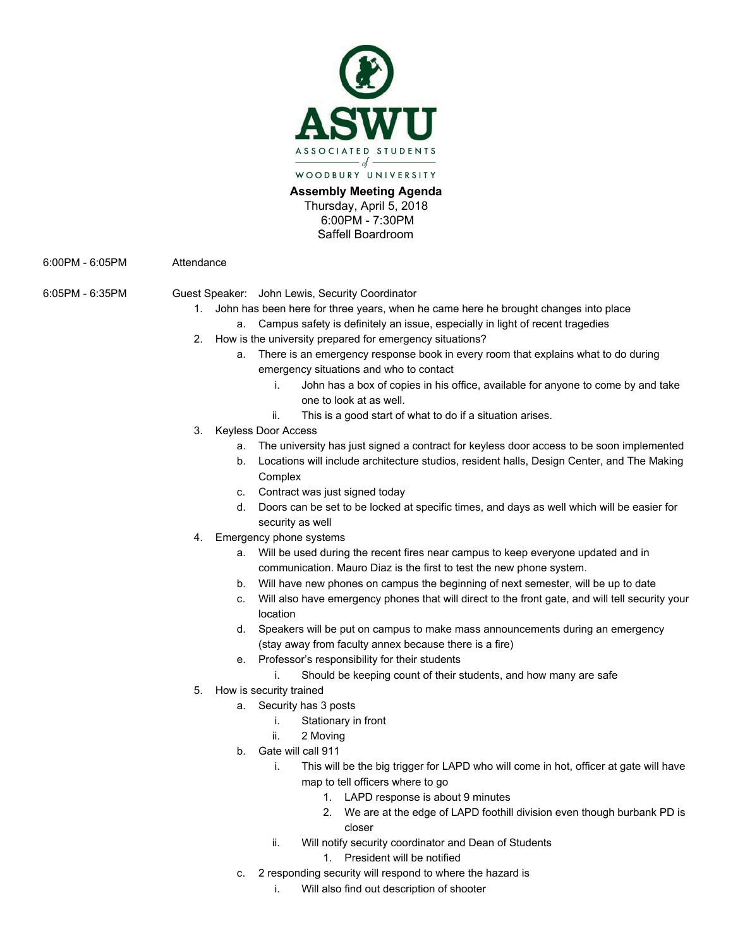

**Assembly Meeting Agenda**  Thursday, April 5, 2018 6:00PM - 7:30PM Saffell Boardroom

6:00PM - 6:05PM Attendance

6:05PM - 6:35PM Guest Speaker: John Lewis, Security Coordinator

- 1. John has been here for three years, when he came here he brought changes into place
	- a. Campus safety is definitely an issue, especially in light of recent tragedies
- 2. How is the university prepared for emergency situations?
	- a. There is an emergency response book in every room that explains what to do during emergency situations and who to contact
		- i. John has a box of copies in his office, available for anyone to come by and take one to look at as well.
		- ii. This is a good start of what to do if a situation arises.
- 3. Keyless Door Access
	- a. The university has just signed a contract for keyless door access to be soon implemented
	- b. Locations will include architecture studios, resident halls, Design Center, and The Making **Complex**
	- c. Contract was just signed today
	- d. Doors can be set to be locked at specific times, and days as well which will be easier for security as well
- 4. Emergency phone systems
	- a. Will be used during the recent fires near campus to keep everyone updated and in communication. Mauro Diaz is the first to test the new phone system.
	- b. Will have new phones on campus the beginning of next semester, will be up to date
	- c. Will also have emergency phones that will direct to the front gate, and will tell security your location
	- d. Speakers will be put on campus to make mass announcements during an emergency (stay away from faculty annex because there is a fire)
	- e. Professor's responsibility for their students
		- i. Should be keeping count of their students, and how many are safe
- 5. How is security trained
	- a. Security has 3 posts
		- i. Stationary in front
		- ii. 2 Moving
		- b. Gate will call 911
			- i. This will be the big trigger for LAPD who will come in hot, officer at gate will have map to tell officers where to go
				- 1. LAPD response is about 9 minutes
				- 2. We are at the edge of LAPD foothill division even though burbank PD is closer
			- ii. Will notify security coordinator and Dean of Students
				- 1. President will be notified
		- c. 2 responding security will respond to where the hazard is
			- i. Will also find out description of shooter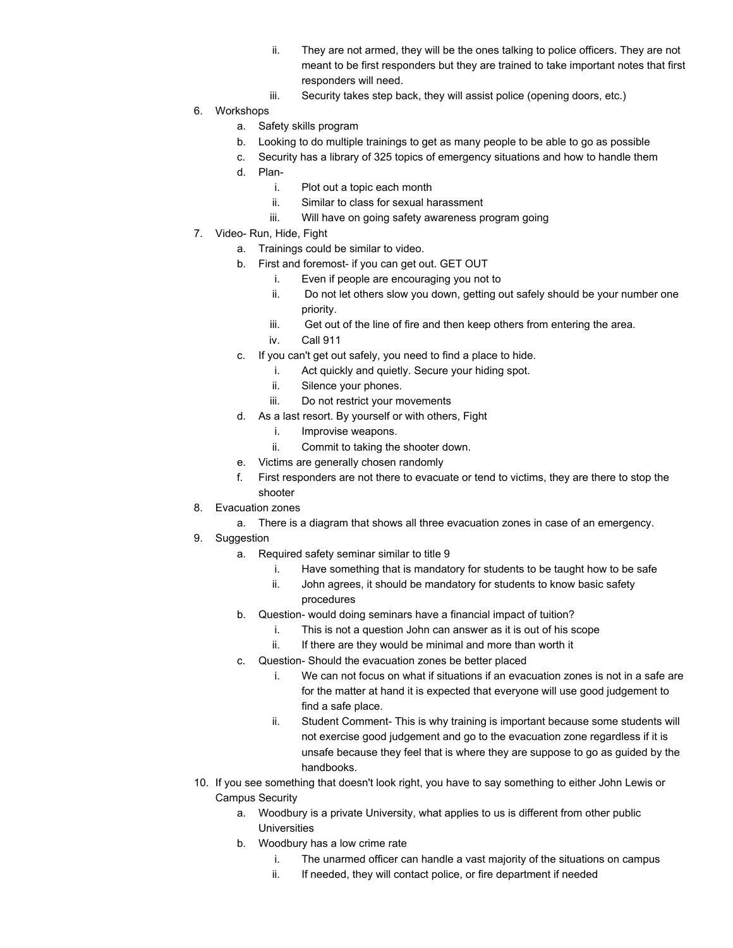- ii. They are not armed, they will be the ones talking to police officers. They are not meant to be first responders but they are trained to take important notes that first responders will need.
- iii. Security takes step back, they will assist police (opening doors, etc.)
- 6. Workshops
	- a. Safety skills program
	- b. Looking to do multiple trainings to get as many people to be able to go as possible
	- c. Security has a library of 325 topics of emergency situations and how to handle them
	- d. Plan
		- i. Plot out a topic each month
		- ii. Similar to class for sexual harassment
		- iii. Will have on going safety awareness program going
- 7. Video- Run, Hide, Fight
	- a. Trainings could be similar to video.
	- b. First and foremost- if you can get out. GET OUT
		- i. Even if people are encouraging you not to
		- ii. Do not let others slow you down, getting out safely should be your number one priority.
		- iii. Get out of the line of fire and then keep others from entering the area.
		- iv. Call 911
	- c. If you can't get out safely, you need to find a place to hide.
		- i. Act quickly and quietly. Secure your hiding spot.
		- ii. Silence your phones.
		- iii. Do not restrict your movements
	- d. As a last resort. By yourself or with others, Fight
		- i. Improvise weapons.
		- ii. Commit to taking the shooter down.
	- e. Victims are generally chosen randomly
	- f. First responders are not there to evacuate or tend to victims, they are there to stop the shooter
- 8. Evacuation zones
	- a. There is a diagram that shows all three evacuation zones in case of an emergency.
- 9. Suggestion
	- a. Required safety seminar similar to title 9
		- i. Have something that is mandatory for students to be taught how to be safe
		- ii. John agrees, it should be mandatory for students to know basic safety procedures
	- b. Question- would doing seminars have a financial impact of tuition?
		- i. This is not a question John can answer as it is out of his scope
		- ii. If there are they would be minimal and more than worth it
	- c. Question- Should the evacuation zones be better placed
		- i. We can not focus on what if situations if an evacuation zones is not in a safe are for the matter at hand it is expected that everyone will use good judgement to find a safe place.
		- ii. Student Comment- This is why training is important because some students will not exercise good judgement and go to the evacuation zone regardless if it is unsafe because they feel that is where they are suppose to go as guided by the handbooks.
- 10. If you see something that doesn't look right, you have to say something to either John Lewis or Campus Security
	- a. Woodbury is a private University, what applies to us is different from other public **Universities**
	- b. Woodbury has a low crime rate
		- i. The unarmed officer can handle a vast majority of the situations on campus
		- ii. If needed, they will contact police, or fire department if needed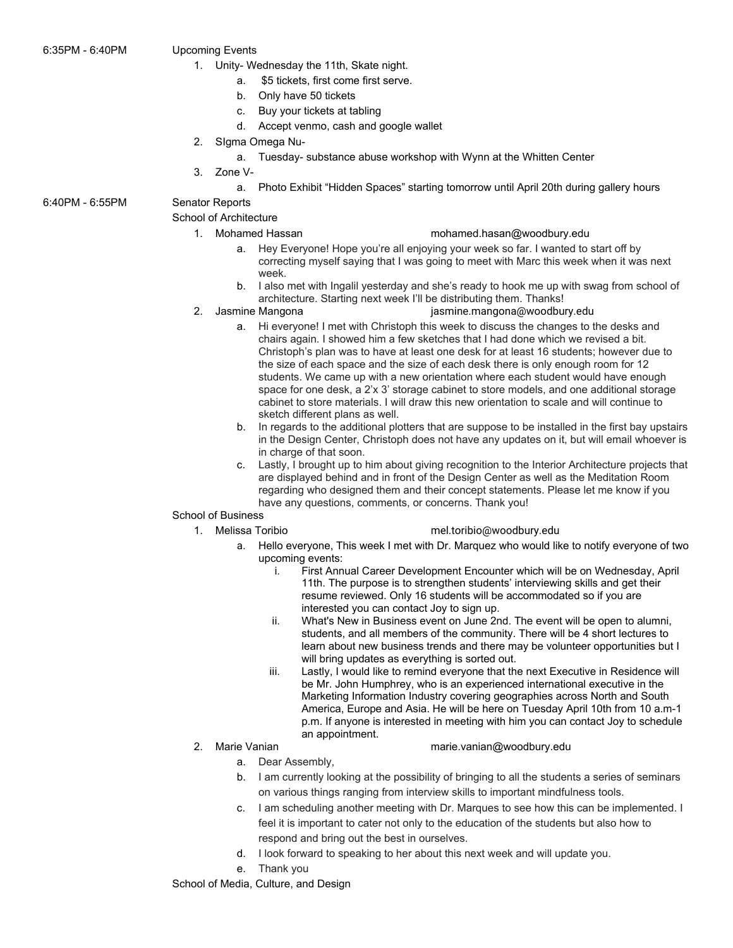#### 6:35PM - 6:40PM Upcoming Events

- 1. Unity- Wednesday the 11th, Skate night.
	- a. \$5 tickets, first come first serve.
	- b. Only have 50 tickets
	- c. Buy your tickets at tabling
	- d. Accept venmo, cash and google wallet
- 2. SIgma Omega Nu
	- a. Tuesday- substance abuse workshop with Wynn at the Whitten Center
- 3. Zone V
	- a. Photo Exhibit "Hidden Spaces" starting tomorrow until April 20th during gallery hours

## 6:40PM - 6:55PM Senator Reports

School of Architecture

#### 1. Mohamed Hassan mohamed.hasan@woodbury.edu

- a. Hey Everyone! Hope you're all enjoying your week so far. I wanted to start off by correcting myself saying that I was going to meet with Marc this week when it was next week.
- b. I also met with Ingalil yesterday and she's ready to hook me up with swag from school of architecture. Starting next week I'll be distributing them. Thanks!
- 2. Jasmine Mangona jasmine.mangona@woodbury.edu
	- a. Hi everyone! I met with Christoph this week to discuss the changes to the desks and chairs again. I showed him a few sketches that I had done which we revised a bit. Christoph's plan was to have at least one desk for at least 16 students; however due to the size of each space and the size of each desk there is only enough room for 12 students. We came up with a new orientation where each student would have enough space for one desk, a 2'x 3' storage cabinet to store models, and one additional storage cabinet to store materials. I will draw this new orientation to scale and will continue to sketch different plans as well.
	- b. In regards to the additional plotters that are suppose to be installed in the first bay upstairs in the Design Center, Christoph does not have any updates on it, but will email whoever is in charge of that soon.
	- c. Lastly, I brought up to him about giving recognition to the Interior Architecture projects that are displayed behind and in front of the Design Center as well as the Meditation Room regarding who designed them and their concept statements. Please let me know if you have any questions, comments, or concerns. Thank you!

## School of Business

## 1. Melissa Toribio mel.toribio@woodbury.edu

- a. Hello everyone, This week I met with Dr. Marquez who would like to notify everyone of two upcoming events:
	- i. First Annual Career Development Encounter which will be on Wednesday, April 11th. The purpose is to strengthen students' interviewing skills and get their resume reviewed. Only 16 students will be accommodated so if you are interested you can contact Joy to sign up.
	- ii. What's New in Business event on June 2nd. The event will be open to alumni, students, and all members of the community. There will be 4 short lectures to learn about new business trends and there may be volunteer opportunities but I will bring updates as everything is sorted out.
	- iii. Lastly, I would like to remind everyone that the next Executive in Residence will be Mr. John Humphrey, who is an experienced international executive in the Marketing Information Industry covering geographies across North and South America, Europe and Asia. He will be here on Tuesday April 10th from 10 a.m-1 p.m. If anyone is interested in meeting with him you can contact Joy to schedule an appointment.
- 
- 2. Marie Vanian marie.vanian@woodbury.edu
	- a. Dear Assembly,
	- b. I am currently looking at the possibility of bringing to all the students a series of seminars on various things ranging from interview skills to important mindfulness tools.
	- c. I am scheduling another meeting with Dr. Marques to see how this can be implemented. I feel it is important to cater not only to the education of the students but also how to respond and bring out the best in ourselves.
	- d. I look forward to speaking to her about this next week and will update you.
	- e. Thank you

School of Media, Culture, and Design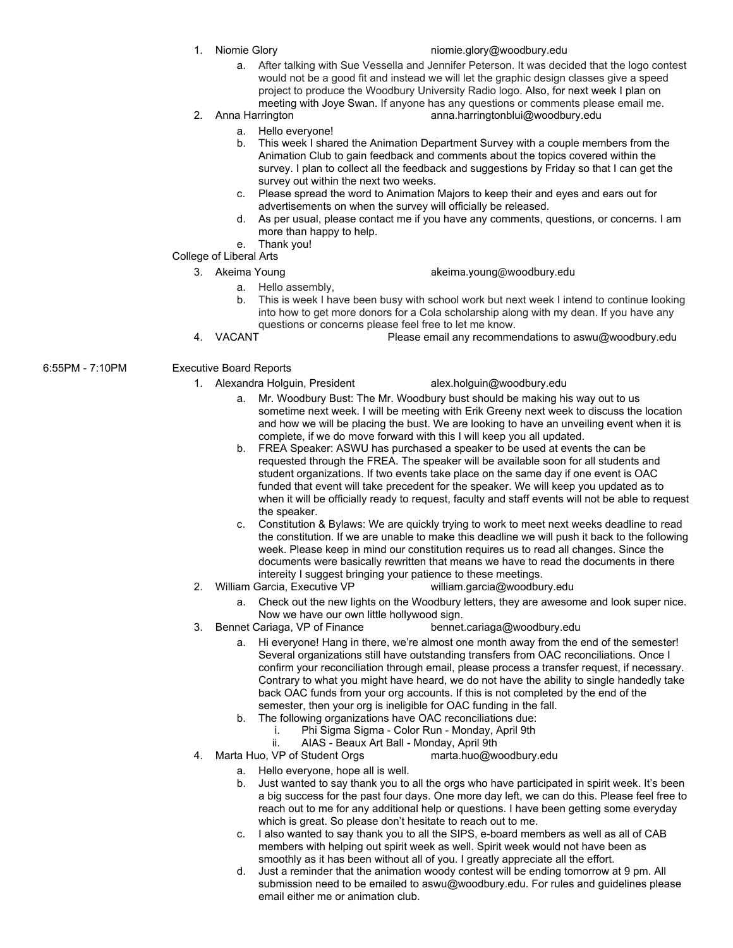#### 1. Niomie Glory niomie.glory@woodbury.edu

- a. After talking with Sue Vessella and Jennifer Peterson. It was decided that the logo contest would not be a good fit and instead we will let the graphic design classes give a speed project to produce the Woodbury University Radio logo. Also, for next week I plan on meeting with Joye Swan. If anyone has any questions or comments please email me.
- 2. Anna Harrington anna.harringtonblui@woodbury.edu
	- a. Hello everyone!
	- b. This week I shared the Animation Department Survey with a couple members from the Animation Club to gain feedback and comments about the topics covered within the survey. I plan to collect all the feedback and suggestions by Friday so that I can get the survey out within the next two weeks.
	- c. Please spread the word to Animation Majors to keep their and eyes and ears out for advertisements on when the survey will officially be released.
	- d. As per usual, please contact me if you have any comments, questions, or concerns. I am more than happy to help.
	- e. Thank you!

# College of Liberal Arts

- 3. Akeima Young akeima.young@woodbury.edu
	- a. Hello assembly,
	- b. This is week I have been busy with school work but next week I intend to continue looking into how to get more donors for a Cola scholarship along with my dean. If you have any questions or concerns please feel free to let me know.
- 4. VACANT Please email any recommendations to aswu@woodbury.edu

## 6:55PM - 7:10PM Executive Board Reports

- 1. Alexandra Holguin, President alex.holguin@woodbury.edu
	- a. Mr. Woodbury Bust: The Mr. Woodbury bust should be making his way out to us sometime next week. I will be meeting with Erik Greeny next week to discuss the location and how we will be placing the bust. We are looking to have an unveiling event when it is complete, if we do move forward with this I will keep you all updated.
	- b. FREA Speaker: ASWU has purchased a speaker to be used at events the can be requested through the FREA. The speaker will be available soon for all students and student organizations. If two events take place on the same day if one event is OAC funded that event will take precedent for the speaker. We will keep you updated as to when it will be officially ready to request, faculty and staff events will not be able to request the speaker.
	- c. Constitution & Bylaws: We are quickly trying to work to meet next weeks deadline to read the constitution. If we are unable to make this deadline we will push it back to the following week. Please keep in mind our constitution requires us to read all changes. Since the documents were basically rewritten that means we have to read the documents in there intereity I suggest bringing your patience to these meetings.
- 2. William Garcia, Executive VP william.garcia@woodbury.edu
	- a. Check out the new lights on the Woodbury letters, they are awesome and look super nice. Now we have our own little hollywood sign.
- 3. Bennet Cariaga, VP of Finance bennet.cariaga@woodbury.edu
	- a. Hi everyone! Hang in there, we're almost one month away from the end of the semester! Several organizations still have outstanding transfers from OAC reconciliations. Once I confirm your reconciliation through email, please process a transfer request, if necessary. Contrary to what you might have heard, we do not have the ability to single handedly take back OAC funds from your org accounts. If this is not completed by the end of the semester, then your org is ineligible for OAC funding in the fall.
	- b. The following organizations have OAC reconciliations due:<br>i. Phi Sigma Sigma Color Run Monday, April 9th
		- i. Phi Sigma Sigma Color Run Monday, April 9th<br>ii. AIAS Beaux Art Ball Monday. April 9th
			-
- AIAS Beaux Art Ball Monday, April 9th<br>Student Orgs marta.huo@woodbury.edu 4. Marta Huo, VP of Student Orgs.
	- a. Hello everyone, hope all is well.
	- b. Just wanted to say thank you to all the orgs who have participated in spirit week. It's been a big success for the past four days. One more day left, we can do this. Please feel free to reach out to me for any additional help or questions. I have been getting some everyday which is great. So please don't hesitate to reach out to me.
	- c. I also wanted to say thank you to all the SIPS, e-board members as well as all of CAB members with helping out spirit week as well. Spirit week would not have been as smoothly as it has been without all of you. I greatly appreciate all the effort.
	- d. Just a reminder that the animation woody contest will be ending tomorrow at 9 pm. All submission need to be emailed to [aswu@woodbury.edu.](mailto:aswu@woodbury.edu) For rules and guidelines please email either me or animation club.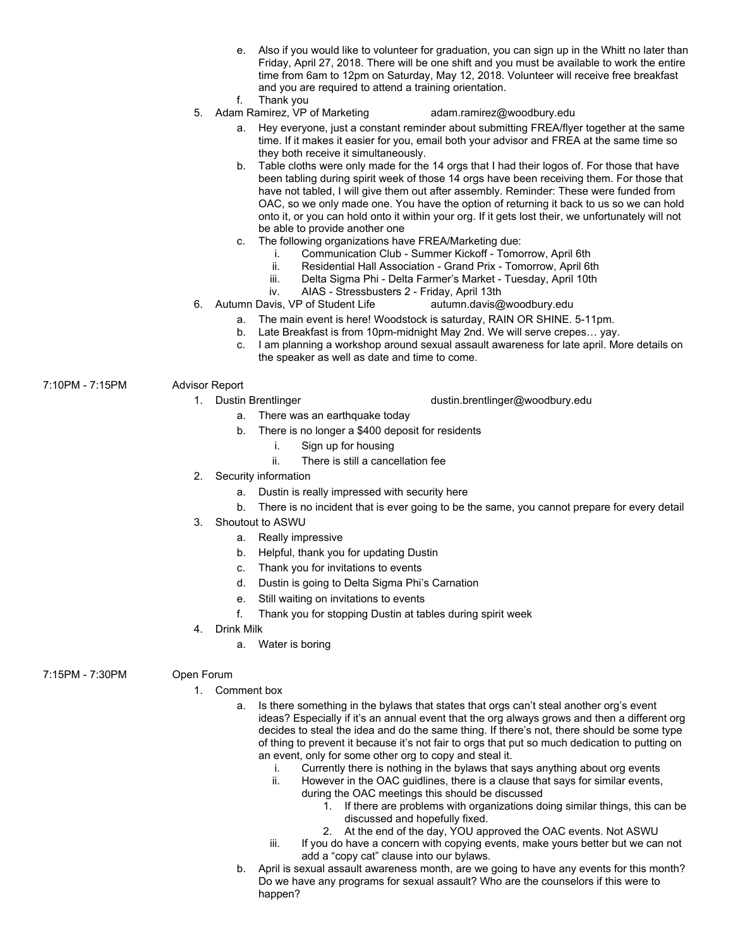- e. Also if you would like to volunteer for graduation, you can sign up in the Whitt no later than Friday, April 27, 2018. There will be one shift and you must be available to work the entire time from 6am to 12pm on Saturday, May 12, 2018. Volunteer will receive free breakfast and you are required to attend a training orientation.
- f. Thank you
- 5. Adam Ramirez, VP of Marketing adam.ramirez@woodbury.edu
	- a. Hey everyone, just a constant reminder about submitting FREA/flyer together at the same time. If it makes it easier for you, email both your advisor and FREA at the same time so they both receive it simultaneously.
	- b. Table cloths were only made for the 14 orgs that I had their logos of. For those that have been tabling during spirit week of those 14 orgs have been receiving them. For those that have not tabled, I will give them out after assembly. Reminder: These were funded from OAC, so we only made one. You have the option of returning it back to us so we can hold onto it, or you can hold onto it within your org. If it gets lost their, we unfortunately will not be able to provide another one
	- c. The following organizations have FREA/Marketing due:
		- i. Communication Club Summer Kickoff Tomorrow, April 6th
		- ii. Residential Hall Association Grand Prix Tomorrow, April 6th<br>iii. Delta Sigma Phi Delta Farmer's Market Tuesday, April 10th
		- iii. Delta Sigma Phi Delta Farmer's Market Tuesday, April 10th<br>iv. AIAS Stressbusters 2 Friday. April 13th
		- AIAS Stressbusters 2 Friday, April 13th<br>of Student Life autumn.davis@woodbury.edu
- 6. Autumn Davis, VP of Student Life
	- a. The main event is here! Woodstock is saturday, RAIN OR SHINE. 5-11pm.
	- b. Late Breakfast is from 10pm-midnight May 2nd. We will serve crepes… yay.
	- c. I am planning a workshop around sexual assault awareness for late april. More details on the speaker as well as date and time to come.
- 7:10PM 7:15PM Advisor Report
	-
	- 1. Dustin Brentlinger and the dustin.brentlinger@woodbury.edu
		- a. There was an earthquake today
		- b. There is no longer a \$400 deposit for residents
			- i. Sign up for housing
			- ii. There is still a cancellation fee
	- 2. Security information
		- a. Dustin is really impressed with security here
		- b. There is no incident that is ever going to be the same, you cannot prepare for every detail
	- 3. Shoutout to ASWU
		- a. Really impressive
		- b. Helpful, thank you for updating Dustin
		- c. Thank you for invitations to events
		- d. Dustin is going to Delta Sigma Phi's Carnation
		- e. Still waiting on invitations to events
		- f. Thank you for stopping Dustin at tables during spirit week
	- 4. Drink Milk
		- a. Water is boring
- 7:15PM 7:30PM Open Forum
	- - 1. Comment box
			- a. Is there something in the bylaws that states that orgs can't steal another org's event ideas? Especially if it's an annual event that the org always grows and then a different org decides to steal the idea and do the same thing. If there's not, there should be some type of thing to prevent it because it's not fair to orgs that put so much dedication to putting on an event, only for some other org to copy and steal it.
				- i. Currently there is nothing in the bylaws that says anything about org events
				- ii. However in the OAC guidlines, there is a clause that says for similar events,
					- during the OAC meetings this should be discussed
						- 1. If there are problems with organizations doing similar things, this can be discussed and hopefully fixed.
						- 2. At the end of the day, YOU approved the OAC events. Not ASWU
				- iii. If you do have a concern with copying events, make yours better but we can not add a "copy cat" clause into our bylaws.
			- b. April is sexual assault awareness month, are we going to have any events for this month? Do we have any programs for sexual assault? Who are the counselors if this were to happen?